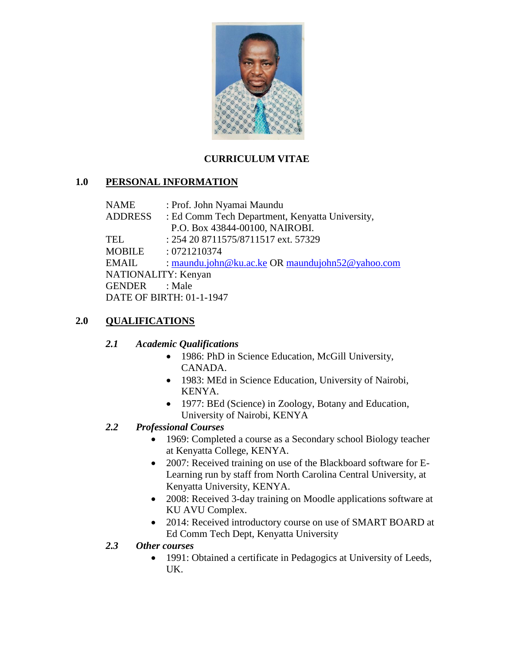

## **CURRICULUM VITAE**

## **1.0 PERSONAL INFORMATION**

| NAME                     | : Prof. John Nyamai Maundu                       |
|--------------------------|--------------------------------------------------|
| <b>ADDRESS</b>           | : Ed Comm Tech Department, Kenyatta University,  |
|                          | P.O. Box 43844-00100, NAIROBI.                   |
| TEL                      | : 254 20 8711575/8711517 ext. 57329              |
| <b>MOBILE</b>            | : 0721210374                                     |
| EMAIL                    | : maundu.john@ku.ac.ke OR maundujohn52@yahoo.com |
| NATIONALITY: Kenyan      |                                                  |
| GENDER                   | : Male                                           |
| DATE OF BIRTH: 01-1-1947 |                                                  |
|                          |                                                  |

## **2.0 QUALIFICATIONS**

### *2.1 Academic Qualifications*

- 1986: PhD in Science Education, McGill University, CANADA.
- 1983: MEd in Science Education, University of Nairobi, KENYA.
- 1977: BEd (Science) in Zoology, Botany and Education, University of Nairobi, KENYA

## *2.2 Professional Courses*

- 1969: Completed a course as a Secondary school Biology teacher at Kenyatta College, KENYA.
- 2007: Received training on use of the Blackboard software for E-Learning run by staff from North Carolina Central University, at Kenyatta University, KENYA.
- 2008: Received 3-day training on Moodle applications software at KU AVU Complex.
- 2014: Received introductory course on use of SMART BOARD at Ed Comm Tech Dept, Kenyatta University

### *2.3 Other courses*

 1991: Obtained a certificate in Pedagogics at University of Leeds, UK.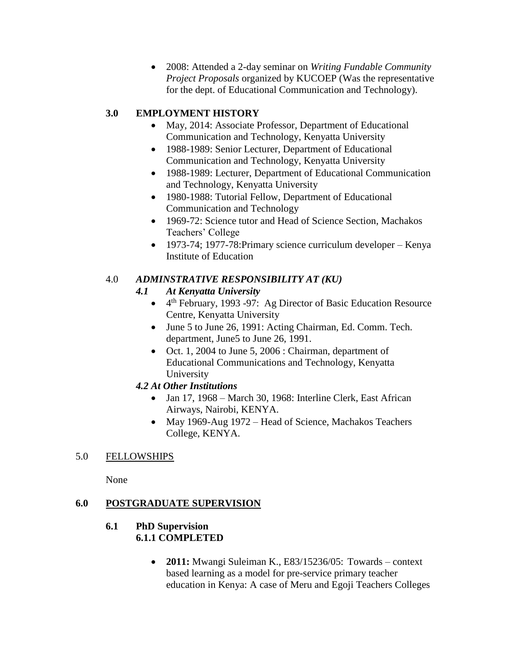2008: Attended a 2-day seminar on *Writing Fundable Community Project Proposals* organized by KUCOEP (Was the representative for the dept. of Educational Communication and Technology).

## **3.0 EMPLOYMENT HISTORY**

- May, 2014: Associate Professor, Department of Educational Communication and Technology, Kenyatta University
- 1988-1989: Senior Lecturer, Department of Educational Communication and Technology, Kenyatta University
- 1988-1989: Lecturer, Department of Educational Communication and Technology, Kenyatta University
- 1980-1988: Tutorial Fellow, Department of Educational Communication and Technology
- 1969-72: Science tutor and Head of Science Section, Machakos Teachers' College
- 1973-74; 1977-78: Primary science curriculum developer Kenya Institute of Education

## 4.0 *ADMINSTRATIVE RESPONSIBILITY AT (KU)*

## *4.1 At Kenyatta University*

- 4<sup>th</sup> February, 1993 -97: Ag Director of Basic Education Resource Centre, Kenyatta University
- June 5 to June 26, 1991: Acting Chairman, Ed. Comm. Tech. department, June5 to June 26, 1991.
- Oct. 1, 2004 to June 5, 2006 : Chairman, department of Educational Communications and Technology, Kenyatta University

## *4.2 At Other Institutions*

- Jan 17, 1968 March 30, 1968: Interline Clerk, East African Airways, Nairobi, KENYA.
- May 1969-Aug 1972 Head of Science, Machakos Teachers College, KENYA.

# 5.0 FELLOWSHIPS

None

# **6.0 POSTGRADUATE SUPERVISION**

### **6.1 PhD Supervision 6.1.1 COMPLETED**

 **2011:** Mwangi Suleiman K., E83/15236/05: Towards – context based learning as a model for pre-service primary teacher education in Kenya: A case of Meru and Egoji Teachers Colleges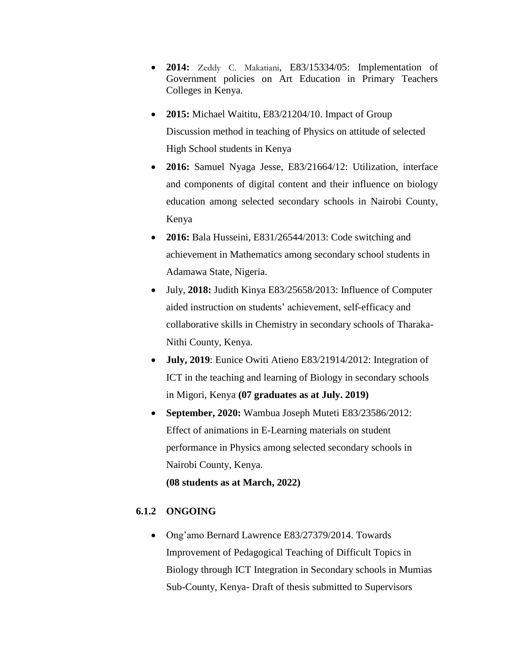- **2014:** Zeddy C. Makatiani, E83/15334/05: Implementation of Government policies on Art Education in Primary Teachers Colleges in Kenya.
- **2015:** Michael Waititu, E83/21204/10. Impact of Group Discussion method in teaching of Physics on attitude of selected High School students in Kenya
- **2016:** Samuel Nyaga Jesse, E83/21664/12: Utilization, interface and components of digital content and their influence on biology education among selected secondary schools in Nairobi County, Kenya
- **2016:** Bala Husseini, E831/26544/2013: Code switching and achievement in Mathematics among secondary school students in Adamawa State, Nigeria.
- July, **2018:** Judith Kinya E83/25658/2013: Influence of Computer aided instruction on students' achievement, self-efficacy and collaborative skills in Chemistry in secondary schools of Tharaka-Nithi County, Kenya.
- **July, 2019**: Eunice Owiti Atieno E83/21914/2012: Integration of ICT in the teaching and learning of Biology in secondary schools in Migori, Kenya **(07 graduates as at July. 2019)**
- **September, 2020:** Wambua Joseph Muteti E83/23586/2012: Effect of animations in E-Learning materials on student performance in Physics among selected secondary schools in Nairobi County, Kenya. **(08 students as at March, 2022)**

#### **6.1.2 ONGOING**

• Ong'amo Bernard Lawrence E83/27379/2014. Towards Improvement of Pedagogical Teaching of Difficult Topics in Biology through ICT Integration in Secondary schools in Mumias Sub-County, Kenya- Draft of thesis submitted to Supervisors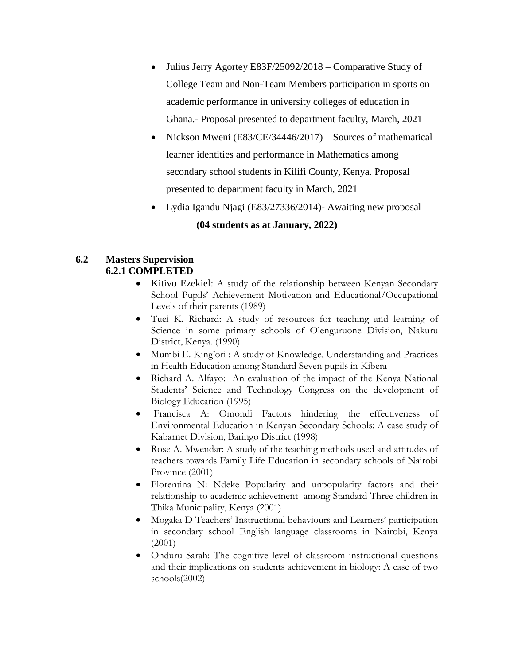- Julius Jerry Agortey E83F/25092/2018 Comparative Study of College Team and Non-Team Members participation in sports on academic performance in university colleges of education in Ghana.- Proposal presented to department faculty, March, 2021
- Nickson Mweni (E83/CE/34446/2017) Sources of mathematical learner identities and performance in Mathematics among secondary school students in Kilifi County, Kenya. Proposal presented to department faculty in March, 2021
- Lydia Igandu Njagi (E83/27336/2014)- Awaiting new proposal

### **(04 students as at January, 2022)**

#### **6.2 Masters Supervision 6.2.1 COMPLETED**

- Kitivo Ezekiel: A study of the relationship between Kenyan Secondary School Pupils' Achievement Motivation and Educational/Occupational Levels of their parents (1989)
- Tuei K. Richard: A study of resources for teaching and learning of Science in some primary schools of Olenguruone Division, Nakuru District, Kenya. (1990)
- Mumbi E. King'ori : A study of Knowledge, Understanding and Practices in Health Education among Standard Seven pupils in Kibera
- Richard A. Alfayo: An evaluation of the impact of the Kenya National Students' Science and Technology Congress on the development of Biology Education (1995)
- Francisca A: Omondi Factors hindering the effectiveness of Environmental Education in Kenyan Secondary Schools: A case study of Kabarnet Division, Baringo District (1998)
- Rose A. Mwendar: A study of the teaching methods used and attitudes of teachers towards Family Life Education in secondary schools of Nairobi Province (2001)
- Florentina N: Ndeke Popularity and unpopularity factors and their relationship to academic achievement among Standard Three children in Thika Municipality, Kenya (2001)
- Mogaka D Teachers' Instructional behaviours and Learners' participation in secondary school English language classrooms in Nairobi, Kenya (2001)
- Onduru Sarah: The cognitive level of classroom instructional questions and their implications on students achievement in biology: A case of two schools(2002)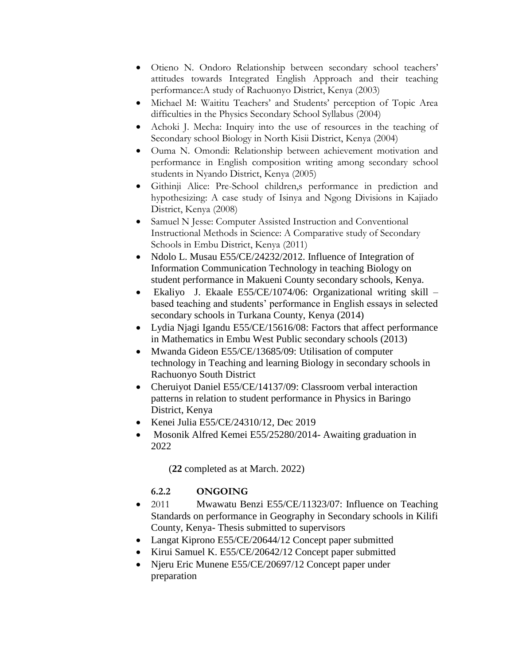- Otieno N. Ondoro Relationship between secondary school teachers' attitudes towards Integrated English Approach and their teaching performance:A study of Rachuonyo District, Kenya (2003)
- Michael M: Waititu Teachers' and Students' perception of Topic Area difficulties in the Physics Secondary School Syllabus (2004)
- Achoki J. Mecha: Inquiry into the use of resources in the teaching of Secondary school Biology in North Kisii District, Kenya (2004)
- Ouma N. Omondi: Relationship between achievement motivation and performance in English composition writing among secondary school students in Nyando District, Kenya (2005)
- Githinji Alice: Pre-School children,s performance in prediction and hypothesizing: A case study of Isinya and Ngong Divisions in Kajiado District, Kenya (2008)
- Samuel N Jesse: Computer Assisted Instruction and Conventional Instructional Methods in Science: A Comparative study of Secondary Schools in Embu District, Kenya (2011)
- Ndolo L. Musau E55/CE/24232/2012. Influence of Integration of Information Communication Technology in teaching Biology on student performance in Makueni County secondary schools, Kenya.
- Ekaliyo J. Ekaale E55/CE/1074/06: Organizational writing skill based teaching and students' performance in English essays in selected secondary schools in Turkana County, Kenya (2014)
- Lydia Njagi Igandu E55/CE/15616/08: Factors that affect performance in Mathematics in Embu West Public secondary schools (2013)
- Mwanda Gideon E55/CE/13685/09: Utilisation of computer technology in Teaching and learning Biology in secondary schools in Rachuonyo South District
- Cheruiyot Daniel E55/CE/14137/09: Classroom verbal interaction patterns in relation to student performance in Physics in Baringo District, Kenya
- Kenei Julia E55/CE/24310/12, Dec 2019
- Mosonik Alfred Kemei E55/25280/2014- Awaiting graduation in 2022

(**22** completed as at March. 2022)

## **6.2.2 ONGOING**

- 2011 Mwawatu Benzi E55/CE/11323/07: Influence on Teaching Standards on performance in Geography in Secondary schools in Kilifi County, Kenya- Thesis submitted to supervisors
- Langat Kiprono E55/CE/20644/12 Concept paper submitted
- Kirui Samuel K. E55/CE/20642/12 Concept paper submitted
- Njeru Eric Munene E55/CE/20697/12 Concept paper under preparation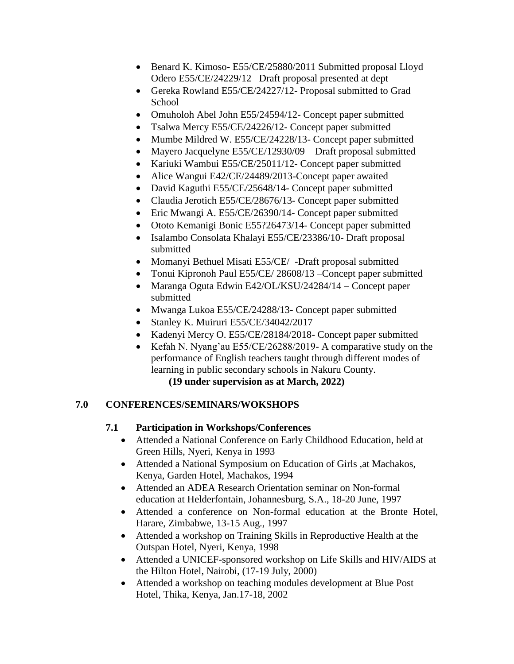- Benard K. Kimoso- E55/CE/25880/2011 Submitted proposal Lloyd Odero E55/CE/24229/12 –Draft proposal presented at dept
- Gereka Rowland E55/CE/24227/12- Proposal submitted to Grad School
- Omuholoh Abel John E55/24594/12- Concept paper submitted
- Tsalwa Mercy E55/CE/24226/12- Concept paper submitted
- Mumbe Mildred W. E55/CE/24228/13- Concept paper submitted
- Mayero Jacquelyne  $E55/CE/12930/09$  Draft proposal submitted
- Kariuki Wambui E55/CE/25011/12- Concept paper submitted
- Alice Wangui E42/CE/24489/2013-Concept paper awaited
- David Kaguthi E55/CE/25648/14- Concept paper submitted
- Claudia Jerotich E55/CE/28676/13- Concept paper submitted
- Eric Mwangi A. E55/CE/26390/14- Concept paper submitted
- Ototo Kemanigi Bonic E55?26473/14- Concept paper submitted
- Isalambo Consolata Khalayi E55/CE/23386/10- Draft proposal submitted
- Momanyi Bethuel Misati E55/CE/ -Draft proposal submitted
- Tonui Kipronoh Paul E55/CE/ 28608/13 –Concept paper submitted
- Maranga Oguta Edwin E42/OL/KSU/24284/14 Concept paper submitted
- Mwanga Lukoa E55/CE/24288/13- Concept paper submitted
- Stanley K. Muiruri E55/CE/34042/2017
- Kadenyi Mercy O. E55/CE/28184/2018- Concept paper submitted
- Kefah N. Nyang'au E55/CE/26288/2019- A comparative study on the performance of English teachers taught through different modes of learning in public secondary schools in Nakuru County.

**(19 under supervision as at March, 2022)**

## **7.0 CONFERENCES/SEMINARS/WOKSHOPS**

## **7.1 Participation in Workshops/Conferences**

- Attended a National Conference on Early Childhood Education, held at Green Hills, Nyeri, Kenya in 1993
- Attended a National Symposium on Education of Girls ,at Machakos, Kenya, Garden Hotel, Machakos, 1994
- Attended an ADEA Research Orientation seminar on Non-formal education at Helderfontain, Johannesburg, S.A., 18-20 June, 1997
- Attended a conference on Non-formal education at the Bronte Hotel, Harare, Zimbabwe, 13-15 Aug., 1997
- Attended a workshop on Training Skills in Reproductive Health at the Outspan Hotel, Nyeri, Kenya, 1998
- Attended a UNICEF-sponsored workshop on Life Skills and HIV/AIDS at the Hilton Hotel, Nairobi, (17-19 July, 2000)
- Attended a workshop on teaching modules development at Blue Post Hotel, Thika, Kenya, Jan.17-18, 2002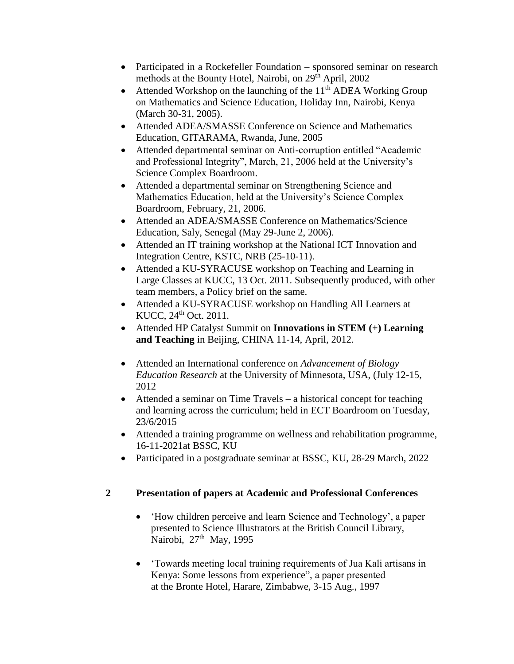- Participated in a Rockefeller Foundation sponsored seminar on research methods at the Bounty Hotel, Nairobi, on 29<sup>th</sup> April, 2002
- Attended Workshop on the launching of the  $11<sup>th</sup>$  ADEA Working Group on Mathematics and Science Education, Holiday Inn, Nairobi, Kenya (March 30-31, 2005).
- Attended ADEA/SMASSE Conference on Science and Mathematics Education, GITARAMA, Rwanda, June, 2005
- Attended departmental seminar on Anti-corruption entitled "Academic and Professional Integrity", March, 21, 2006 held at the University's Science Complex Boardroom.
- Attended a departmental seminar on Strengthening Science and Mathematics Education, held at the University's Science Complex Boardroom, February, 21, 2006.
- Attended an ADEA/SMASSE Conference on Mathematics/Science Education, Saly, Senegal (May 29-June 2, 2006).
- Attended an IT training workshop at the National ICT Innovation and Integration Centre, KSTC, NRB (25-10-11).
- Attended a KU-SYRACUSE workshop on Teaching and Learning in Large Classes at KUCC, 13 Oct. 2011. Subsequently produced, with other team members, a Policy brief on the same.
- Attended a KU-SYRACUSE workshop on Handling All Learners at KUCC, 24th Oct. 2011.
- Attended HP Catalyst Summit on **Innovations in STEM (+) Learning and Teaching** in Beijing, CHINA 11-14, April, 2012.
- Attended an International conference on *Advancement of Biology Education Research* at the University of Minnesota, USA, (July 12-15, 2012
- Attended a seminar on Time Travels a historical concept for teaching and learning across the curriculum; held in ECT Boardroom on Tuesday, 23/6/2015
- Attended a training programme on wellness and rehabilitation programme, 16-11-2021at BSSC, KU
- Participated in a postgraduate seminar at BSSC, KU, 28-29 March, 2022

## **2 Presentation of papers at Academic and Professional Conferences**

- 'How children perceive and learn Science and Technology', a paper presented to Science Illustrators at the British Council Library, Nairobi, 27<sup>th</sup> May, 1995
- 'Towards meeting local training requirements of Jua Kali artisans in Kenya: Some lessons from experience", a paper presented at the Bronte Hotel, Harare, Zimbabwe, 3-15 Aug., 1997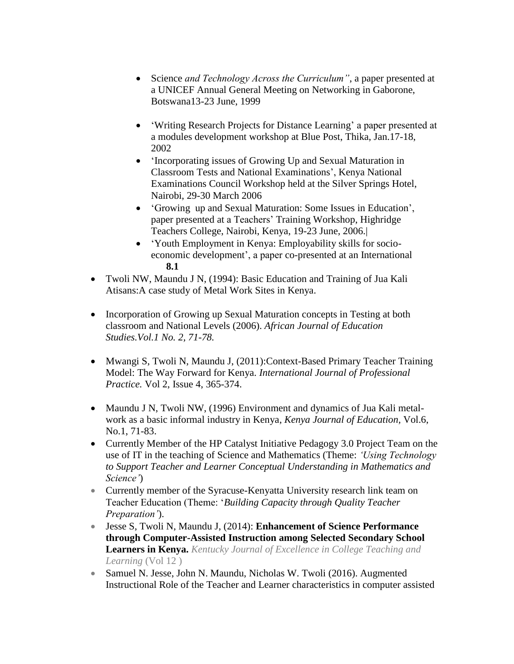- Science *and Technology Across the Curriculum"*, a paper presented at a UNICEF Annual General Meeting on Networking in Gaborone, Botswana13-23 June, 1999
- 'Writing Research Projects for Distance Learning' a paper presented at a modules development workshop at Blue Post, Thika, Jan.17-18, 2002
- 'Incorporating issues of Growing Up and Sexual Maturation in Classroom Tests and National Examinations', Kenya National Examinations Council Workshop held at the Silver Springs Hotel, Nairobi, 29-30 March 2006
- 'Growing up and Sexual Maturation: Some Issues in Education', paper presented at a Teachers' Training Workshop, Highridge Teachers College, Nairobi, Kenya, 19-23 June, 2006.|
- 'Youth Employment in Kenya: Employability skills for socioeconomic development', a paper co-presented at an International **8.1**
- Twoli NW, Maundu J N, (1994): Basic Education and Training of Jua Kali Atisans:A case study of Metal Work Sites in Kenya.
- Incorporation of Growing up Sexual Maturation concepts in Testing at both classroom and National Levels (2006). *African Journal of Education Studies.Vol.1 No. 2, 71-78.*
- Mwangi S, Twoli N, Maundu J, (2011):Context-Based Primary Teacher Training Model: The Way Forward for Kenya. *International Journal of Professional Practice.* Vol 2, Issue 4, 365-374.
- Maundu J N, Twoli NW, (1996) Environment and dynamics of Jua Kali metalwork as a basic informal industry in Kenya, *Kenya Journal of Education,* Vol.6, No.1, 71-83.
- Currently Member of the HP Catalyst Initiative Pedagogy 3.0 Project Team on the use of IT in the teaching of Science and Mathematics (Theme: *'Using Technology to Support Teacher and Learner Conceptual Understanding in Mathematics and Science'*)
- Currently member of the Syracuse-Kenyatta University research link team on Teacher Education (Theme: '*Building Capacity through Quality Teacher Preparation'*).
- Jesse S, Twoli N, Maundu J, (2014): **Enhancement of Science Performance through Computer-Assisted Instruction among Selected Secondary School Learners in Kenya.** *Kentucky Journal of Excellence in College Teaching and Learning* (Vol 12 )
- Samuel N. Jesse, John N. Maundu, Nicholas W. Twoli (2016). Augmented Instructional Role of the Teacher and Learner characteristics in computer assisted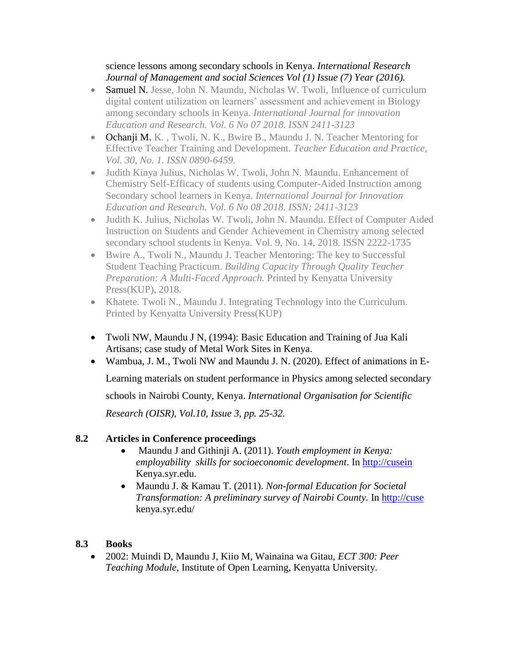### science lessons among secondary schools in Kenya. *International Research Journal of Management and social Sciences Vol (1) Issue (7) Year (2016).*

- Samuel N. Jesse, John N. Maundu, Nicholas W. Twoli, Influence of curriculum digital content utilization on learners' assessment and achievement in Biology among secondary schools in Kenya. *International Journal for innovation Education and Research. Vol. 6 No 07 2018. ISSN 2411-3123*
- Ochanji M. K*. ,* Twoli, N. K., Bwire B., Maundu J. N. Teacher Mentoring for Effective Teacher Training and Development. *Teacher Education and Practice, Vol. 30, No. 1. ISSN 0890-6459.*
- Judith Kinya Julius, Nicholas W. Twoli, John N. Maundu. Enhancement of Chemistry Self-Efficacy of students using Computer-Aided Instruction among Secondary school learners in Kenya. *International Journal for Innovation Education and Research. Vol. 6 No 08 2018. ISSN: 2411-3123*
- Judith K. Julius, Nicholas W. Twoli, John N. Maundu. Effect of Computer Aided Instruction on Students and Gender Achievement in Chemistry among selected secondary school students in Kenya. Vol. 9, No. 14, 2018. ISSN 2222-1735
- Bwire A., Twoli N., Maundu J. Teacher Mentoring: The key to Successful Student Teaching Practicum. *Building Capacity Through Quality Teacher Preparation: A Multi-Faced Approach.* Printed by Kenyatta University Press(KUP), 2018.
- Khatete. Twoli N., Maundu J. Integrating Technology into the Curriculum. Printed by Kenyatta University Press(KUP)
- Twoli NW, Maundu J N, (1994): Basic Education and Training of Jua Kali Artisans; case study of Metal Work Sites in Kenya.
- Wambua, J. M., Twoli NW and Maundu J. N. (2020). Effect of animations in E-

Learning materials on student performance in Physics among selected secondary

schools in Nairobi County, Kenya. *International Organisation for Scientific* 

*Research (OISR), Vol.10, Issue 3, pp. 25-32.*

### **8.2 Articles in Conference proceedings**

- Maundu J and Githinji A. (2011). *Youth employment in Kenya: employability skills for socioeconomic development*. In [http://cusein](http://cusein/) Kenya.syr.edu.
- Maundu J. & Kamau T. (2011). *Non-formal Education for Societal Transformation: A preliminary survey of Nairobi County.* In [http://cuse](http://cusein/) kenya.syr.edu/

### **8.3 Books**

 2002: Muindi D, Maundu J, Kiio M, Wainaina wa Gitau, *ECT 300: Peer Teaching Module*, Institute of Open Learning, Kenyatta University.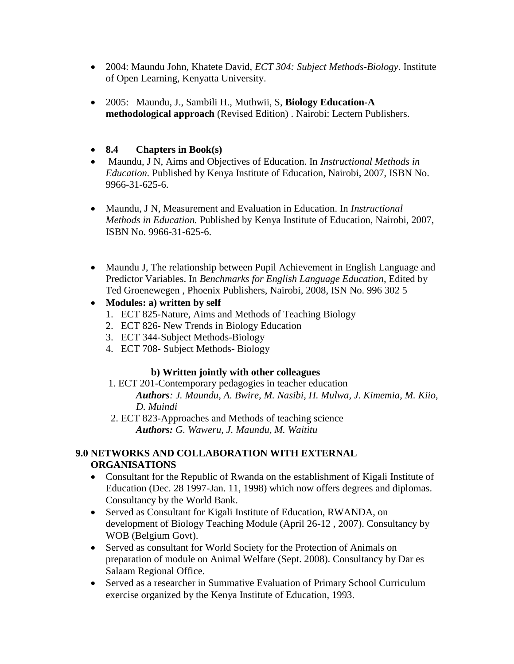- 2004: Maundu John, Khatete David, *ECT 304: Subject Methods-Biology*. Institute of Open Learning, Kenyatta University.
- 2005: Maundu, J., Sambili H., Muthwii, S, **Biology Education-A methodological approach** (Revised Edition) . Nairobi: Lectern Publishers.
- **8.4 Chapters in Book(s)**
- Maundu, J N, Aims and Objectives of Education. In *Instructional Methods in Education.* Published by Kenya Institute of Education, Nairobi, 2007, ISBN No. 9966-31-625-6.
- Maundu, J N, Measurement and Evaluation in Education. In *Instructional Methods in Education.* Published by Kenya Institute of Education, Nairobi, 2007, ISBN No. 9966-31-625-6.
- Maundu J, The relationship between Pupil Achievement in English Language and Predictor Variables. In *Benchmarks for English Language Education*, Edited by Ted Groenewegen , Phoenix Publishers, Nairobi, 2008, ISN No. 996 302 5
- **Modules: a) written by self**
	- 1. ECT 825-Nature, Aims and Methods of Teaching Biology
	- 2. ECT 826- New Trends in Biology Education
	- 3. ECT 344-Subject Methods-Biology
	- 4. ECT 708- Subject Methods- Biology

### **b) Written jointly with other colleagues**

 1. ECT 201-Contemporary pedagogies in teacher education *Authors: J. Maundu, A. Bwire, M. Nasibi, H. Mulwa, J. Kimemia, M. Kiio,*

*D. Muindi* 

 2. ECT 823-Approaches and Methods of teaching science *Authors: G. Waweru, J. Maundu, M. Waititu*

### **9.0 NETWORKS AND COLLABORATION WITH EXTERNAL ORGANISATIONS**

- Consultant for the Republic of Rwanda on the establishment of Kigali Institute of Education (Dec. 28 1997-Jan. 11, 1998) which now offers degrees and diplomas. Consultancy by the World Bank.
- Served as Consultant for Kigali Institute of Education, RWANDA, on development of Biology Teaching Module (April 26-12 , 2007). Consultancy by WOB (Belgium Govt).
- Served as consultant for World Society for the Protection of Animals on preparation of module on Animal Welfare (Sept. 2008). Consultancy by Dar es Salaam Regional Office.
- Served as a researcher in Summative Evaluation of Primary School Curriculum exercise organized by the Kenya Institute of Education, 1993.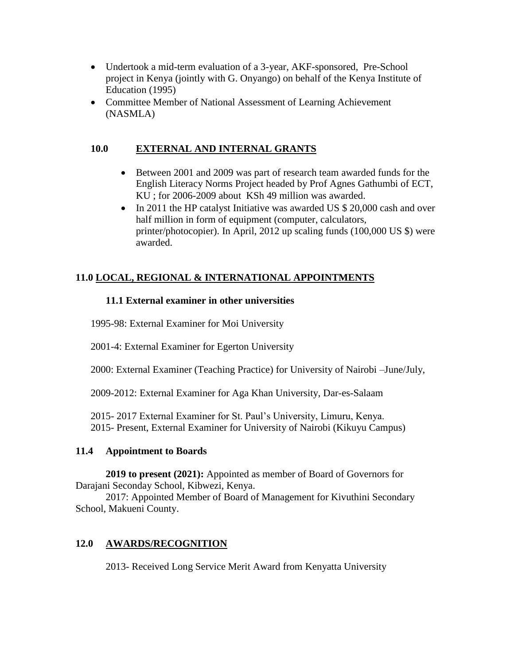- Undertook a mid-term evaluation of a 3-year, AKF-sponsored, Pre-School project in Kenya (jointly with G. Onyango) on behalf of the Kenya Institute of Education (1995)
- Committee Member of National Assessment of Learning Achievement (NASMLA)

### **10.0 EXTERNAL AND INTERNAL GRANTS**

- Between 2001 and 2009 was part of research team awarded funds for the English Literacy Norms Project headed by Prof Agnes Gathumbi of ECT, KU ; for 2006-2009 about KSh 49 million was awarded.
- In 2011 the HP catalyst Initiative was awarded US \$ 20,000 cash and over half million in form of equipment (computer, calculators, printer/photocopier). In April, 2012 up scaling funds (100,000 US \$) were awarded.

## **11.0 LOCAL, REGIONAL & INTERNATIONAL APPOINTMENTS**

### **11.1 External examiner in other universities**

1995-98: External Examiner for Moi University

2001-4: External Examiner for Egerton University

2000: External Examiner (Teaching Practice) for University of Nairobi –June/July,

2009-2012: External Examiner for Aga Khan University, Dar-es-Salaam

2015- 2017 External Examiner for St. Paul's University, Limuru, Kenya. 2015- Present, External Examiner for University of Nairobi (Kikuyu Campus)

### **11.4 Appointment to Boards**

**2019 to present (2021):** Appointed as member of Board of Governors for Darajani Seconday School, Kibwezi, Kenya.

2017: Appointed Member of Board of Management for Kivuthini Secondary School, Makueni County.

## **12.0 AWARDS/RECOGNITION**

2013- Received Long Service Merit Award from Kenyatta University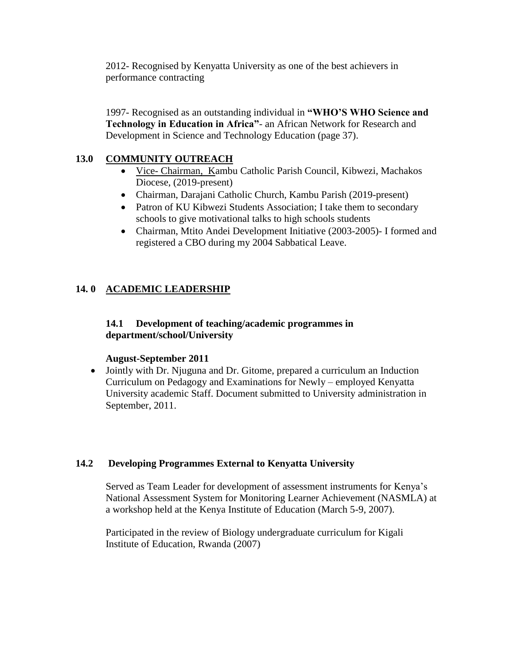2012- Recognised by Kenyatta University as one of the best achievers in performance contracting

1997- Recognised as an outstanding individual in **"WHO'S WHO Science and Technology in Education in Africa"**- an African Network for Research and Development in Science and Technology Education (page 37).

### **13.0 COMMUNITY OUTREACH**

- Vice- Chairman, Kambu Catholic Parish Council, Kibwezi, Machakos Diocese, (2019-present)
- Chairman, Darajani Catholic Church, Kambu Parish (2019-present)
- Patron of KU Kibwezi Students Association; I take them to secondary schools to give motivational talks to high schools students
- Chairman, Mtito Andei Development Initiative (2003-2005)- I formed and registered a CBO during my 2004 Sabbatical Leave.

## **14. 0 ACADEMIC LEADERSHIP**

### **14.1 Development of teaching/academic programmes in department/school/University**

### **August-September 2011**

 Jointly with Dr. Njuguna and Dr. Gitome, prepared a curriculum an Induction Curriculum on Pedagogy and Examinations for Newly – employed Kenyatta University academic Staff. Document submitted to University administration in September, 2011.

### **14.2 Developing Programmes External to Kenyatta University**

Served as Team Leader for development of assessment instruments for Kenya's National Assessment System for Monitoring Learner Achievement (NASMLA) at a workshop held at the Kenya Institute of Education (March 5-9, 2007).

Participated in the review of Biology undergraduate curriculum for Kigali Institute of Education, Rwanda (2007)